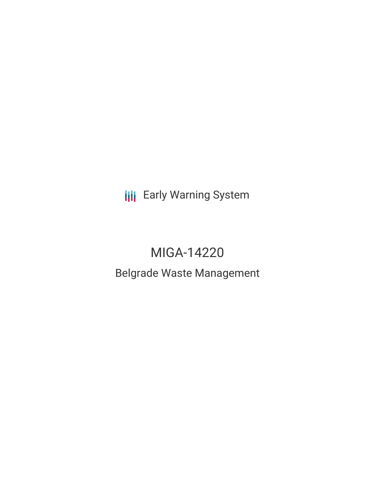**III** Early Warning System

# MIGA-14220

## Belgrade Waste Management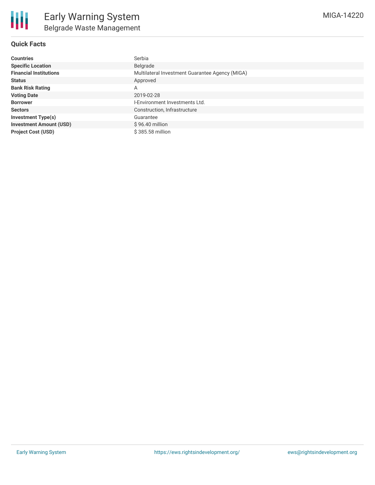#### **Quick Facts**

| <b>Countries</b>               | Serbia                                          |  |  |  |
|--------------------------------|-------------------------------------------------|--|--|--|
| <b>Specific Location</b>       | Belgrade                                        |  |  |  |
| <b>Financial Institutions</b>  | Multilateral Investment Guarantee Agency (MIGA) |  |  |  |
| <b>Status</b>                  | Approved                                        |  |  |  |
| <b>Bank Risk Rating</b>        | A                                               |  |  |  |
| <b>Voting Date</b>             | 2019-02-28                                      |  |  |  |
| <b>Borrower</b>                | I-Environment Investments Ltd.                  |  |  |  |
| <b>Sectors</b>                 | Construction, Infrastructure                    |  |  |  |
| <b>Investment Type(s)</b>      | Guarantee                                       |  |  |  |
| <b>Investment Amount (USD)</b> | \$96.40 million                                 |  |  |  |
| <b>Project Cost (USD)</b>      | \$385,58 million                                |  |  |  |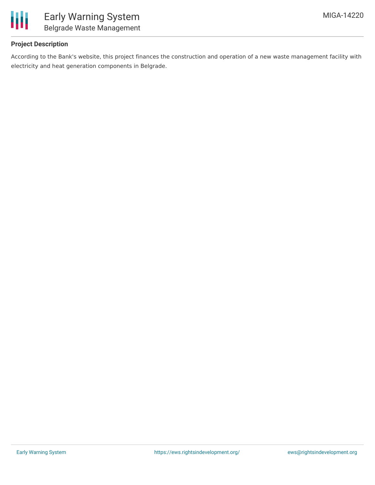

#### **Project Description**

According to the Bank's website, this project finances the construction and operation of a new waste management facility with electricity and heat generation components in Belgrade.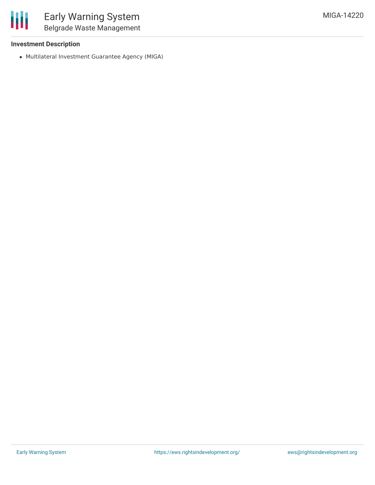

#### **Investment Description**

Multilateral Investment Guarantee Agency (MIGA)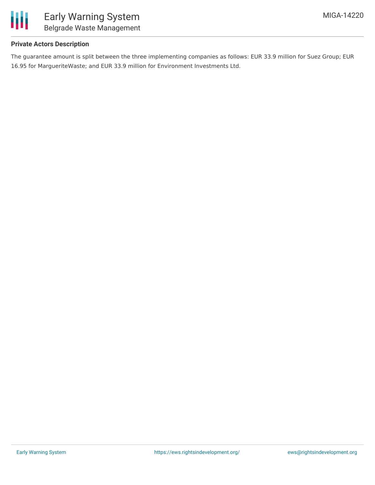

#### **Private Actors Description**

The guarantee amount is split between the three implementing companies as follows: EUR 33.9 million for Suez Group; EUR 16.95 for MargueriteWaste; and EUR 33.9 million for Environment Investments Ltd.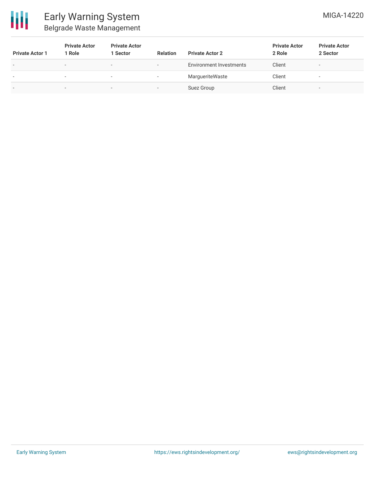

### Early Warning System Belgrade Waste Management

| <b>Private Actor 1</b>   | <b>Private Actor</b><br>1 Role | <b>Private Actor</b><br>1 Sector | <b>Relation</b>          | <b>Private Actor 2</b>         | <b>Private Actor</b><br>2 Role | <b>Private Actor</b><br>2 Sector |
|--------------------------|--------------------------------|----------------------------------|--------------------------|--------------------------------|--------------------------------|----------------------------------|
| $\overline{\phantom{0}}$ | $\overline{\phantom{0}}$       | $\overline{\phantom{0}}$         | $\overline{\phantom{0}}$ | <b>Environment Investments</b> | Client                         | $\sim$                           |
| $\overline{\phantom{a}}$ | $\overline{\phantom{a}}$       | $\overline{\phantom{a}}$         | ٠                        | MargueriteWaste                | Client                         | $\overline{\phantom{a}}$         |
| $\overline{\phantom{a}}$ | $\sim$                         | $\sim$                           | -                        | Suez Group                     | Client                         | $\,$                             |